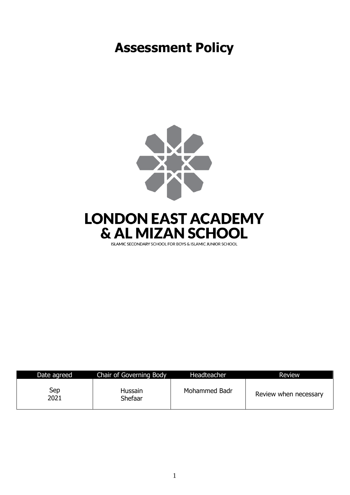# **Assessment Policy**



## **LONDON EAST ACADEMY** & AL MIZAN SCHOOL

ISLAMIC SECONDARY SCHOOL FOR BOYS & ISLAMIC JUNIOR SCHOOL

| Date agreed | Chair of Governing Body   | Headteacher   | <b>Review</b>         |
|-------------|---------------------------|---------------|-----------------------|
| Sep<br>2021 | <b>Hussain</b><br>Shefaar | Mohammed Badr | Review when necessary |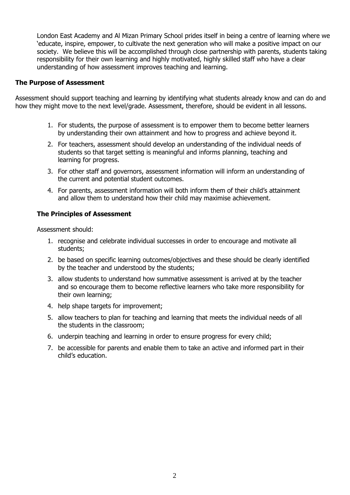London East Academy and Al Mizan Primary School prides itself in being a centre of learning where we 'educate, inspire, empower, to cultivate the next generation who will make a positive impact on our society. We believe this will be accomplished through close partnership with parents, students taking responsibility for their own learning and highly motivated, highly skilled staff who have a clear understanding of how assessment improves teaching and learning.

#### **The Purpose of Assessment**

Assessment should support teaching and learning by identifying what students already know and can do and how they might move to the next level/grade. Assessment, therefore, should be evident in all lessons.

- 1. For students, the purpose of assessment is to empower them to become better learners by understanding their own attainment and how to progress and achieve beyond it.
- 2. For teachers, assessment should develop an understanding of the individual needs of students so that target setting is meaningful and informs planning, teaching and learning for progress.
- 3. For other staff and governors, assessment information will inform an understanding of the current and potential student outcomes.
- 4. For parents, assessment information will both inform them of their child's attainment and allow them to understand how their child may maximise achievement.

## **The Principles of Assessment**

Assessment should:

- 1. recognise and celebrate individual successes in order to encourage and motivate all students;
- 2. be based on specific learning outcomes/objectives and these should be clearly identified by the teacher and understood by the students;
- 3. allow students to understand how summative assessment is arrived at by the teacher and so encourage them to become reflective learners who take more responsibility for their own learning;
- 4. help shape targets for improvement;
- 5. allow teachers to plan for teaching and learning that meets the individual needs of all the students in the classroom;
- 6. underpin teaching and learning in order to ensure progress for every child;
- 7. be accessible for parents and enable them to take an active and informed part in their child's education.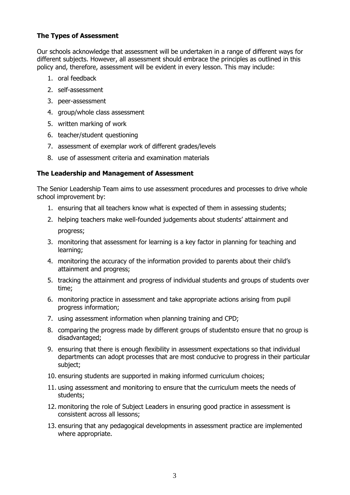## **The Types of Assessment**

Our schools acknowledge that assessment will be undertaken in a range of different ways for different subjects. However, all assessment should embrace the principles as outlined in this policy and, therefore, assessment will be evident in every lesson. This may include:

- 1. oral feedback
- 2. self-assessment
- 3. peer-assessment
- 4. group/whole class assessment
- 5. written marking of work
- 6. teacher/student questioning
- 7. assessment of exemplar work of different grades/levels
- 8. use of assessment criteria and examination materials

## **The Leadership and Management of Assessment**

The Senior Leadership Team aims to use assessment procedures and processes to drive whole school improvement by:

- 1. ensuring that all teachers know what is expected of them in assessing students;
- 2. helping teachers make well-founded judgements about students' attainment and progress;
- 3. monitoring that assessment for learning is a key factor in planning for teaching and learning;
- 4. monitoring the accuracy of the information provided to parents about their child's attainment and progress;
- 5. tracking the attainment and progress of individual students and groups of students over time;
- 6. monitoring practice in assessment and take appropriate actions arising from pupil progress information;
- 7. using assessment information when planning training and CPD;
- 8. comparing the progress made by different groups of studentsto ensure that no group is disadvantaged;
- 9. ensuring that there is enough flexibility in assessment expectations so that individual departments can adopt processes that are most conducive to progress in their particular subject;
- 10. ensuring students are supported in making informed curriculum choices;
- 11. using assessment and monitoring to ensure that the curriculum meets the needs of students;
- 12. monitoring the role of Subject Leaders in ensuring good practice in assessment is consistent across all lessons;
- 13. ensuring that any pedagogical developments in assessment practice are implemented where appropriate.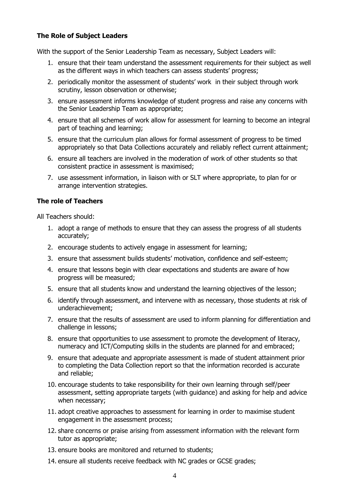## **The Role of Subject Leaders**

With the support of the Senior Leadership Team as necessary, Subject Leaders will:

- 1. ensure that their team understand the assessment requirements for their subject as well as the different ways in which teachers can assess students' progress;
- 2. periodically monitor the assessment of students' work in their subject through work scrutiny, lesson observation or otherwise;
- 3. ensure assessment informs knowledge of student progress and raise any concerns with the Senior Leadership Team as appropriate;
- 4. ensure that all schemes of work allow for assessment for learning to become an integral part of teaching and learning;
- 5. ensure that the curriculum plan allows for formal assessment of progress to be timed appropriately so that Data Collections accurately and reliably reflect current attainment;
- 6. ensure all teachers are involved in the moderation of work of other students so that consistent practice in assessment is maximised;
- 7. use assessment information, in liaison with or SLT where appropriate, to plan for or arrange intervention strategies.

## **The role of Teachers**

All Teachers should:

- 1. adopt a range of methods to ensure that they can assess the progress of all students accurately;
- 2. encourage students to actively engage in assessment for learning;
- 3. ensure that assessment builds students' motivation, confidence and self-esteem;
- 4. ensure that lessons begin with clear expectations and students are aware of how progress will be measured;
- 5. ensure that all students know and understand the learning objectives of the lesson;
- 6. identify through assessment, and intervene with as necessary, those students at risk of underachievement;
- 7. ensure that the results of assessment are used to inform planning for differentiation and challenge in lessons;
- 8. ensure that opportunities to use assessment to promote the development of literacy, numeracy and ICT/Computing skills in the students are planned for and embraced;
- 9. ensure that adequate and appropriate assessment is made of student attainment prior to completing the Data Collection report so that the information recorded is accurate and reliable;
- 10. encourage students to take responsibility for their own learning through self/peer assessment, setting appropriate targets (with guidance) and asking for help and advice when necessary;
- 11. adopt creative approaches to assessment for learning in order to maximise student engagement in the assessment process;
- 12. share concerns or praise arising from assessment information with the relevant form tutor as appropriate;
- 13. ensure books are monitored and returned to students;
- 14. ensure all students receive feedback with NC grades or GCSE grades;